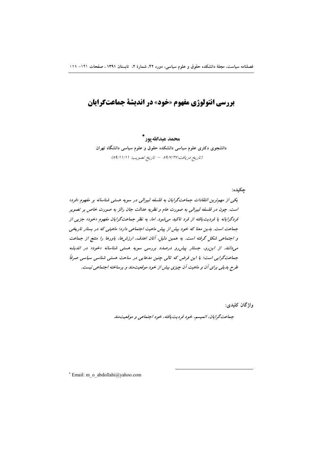# **بررسی انتولوژی مفهوم «خود» در اندیشهٔ جماعتگرایان**

محمد عبدالله يور \* دانشجوی دکتری علوم سیاسی دانشکده حقوق و علوم سیاسی دانشگاه تهران (تاريخ دريافت:٨٩/٧/٢٧ - تاريخ تصويب: ٨٩/١١/١/١)

جكيده:

یکی از مهم ترین انتقادات جماعت گرایان به فلسفه لیبرالی در سویه هستی شناسانه بر مفهوم «فرد» است. چون در فلسفه لیبرالی به صورت عام و نظریه عدالت جان رالز به صورت خاص بر تصویر قردگرایانه یا فردیت یافته از فرد تاکید میشود. اما، به نظر جماعتگرایان مفهوم «خود» جزیی از جماعت است. بدین معنا که خود بیش از پیش ماهیت اجتماعی دارد؛ ماهیتی که در بستار تاریخی و اجتماعی شکل گرفته است. به همین دلیل، آنان اهدف، ارزش ها، باورها را منتج از جماعت می دانند. از این رو، جستار پیش رو درصدد بررسی سویه هستی شناسانه «خود» در اندیشه جماعت گرایی است؛ با این فرض که تالی چنین مدعایی در ساحت هستی شناسی سیاسی صرفاً طرح بدیلی برای آن و ماهیت آن چیزی بیش از خود موقعیت مند و برساخته اجتماعی نیست.

واژگان کلیدی:

جهاعت گرایان، اتمیسم، خود فردیت یافته، خود اجتماعی و موقعیت مند

\* Email: m\_o\_abdollahi@yahoo.com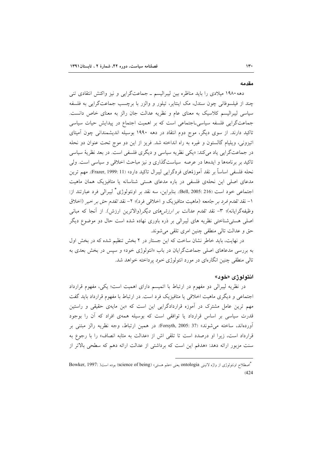#### مقدمه

دهه ۱۹۸۰ میلادی را باید مناظره بین لیبرالیسم ـ جماعتگرایی و نیز واکنش انتقادی تنی چند از فیلسوفانی چون سندل، مک اینتایر، تیلور و والزر با برچسب جماعتگرایی به فلسفه سیاسی لیبرالیسم کلاسیک به معنای عام و نظریه عدالت جان رالز به معنای خاص دانست. جماعتگرایی فلسفه سیاسی۔اجتماعی است که بر اهمیت اجتماع در پیدایش حیات سیاسی تاکید دارند. از سوی دیگر، موج دوم انتقاد در دهه ۱۹۹۰ بوسیله اندیشمندانی چون آمیتای اتیزونی، ویلیام گالستون و غیره به راه انداخته شد. فریز از این دو موج تحت عنوان دو نحله در جماعتگرایی یاد میکند: «یکی نظریه سیاسی و دیگری فلسفی است. در بعد نظریهٔ سیاسی تاکید بر برنامهها و ایدهها در عرصه سیاستگذاری و نیز مباحث اخلاقی و سیاسی است. ولی نحله فلسفي اساساً بر نقد آموزهٔهاي فردگرايي ليبرال تاكيد دارد» (Frazer, 1999: 11). مهم ترين مدعای اصلی این نحلهی فلسفی در باره مدعای هستی شناسانه یا متافیزیک همان ماهیت اجتماعی خود است (Bell, 2005: 216). بنابراین، سه نقد بر اونتولوژی ٌ لیبرالی فرد عبارتند از: ١- نقد تقدم فرد بر جامعه (ماهيت متافيزيک و اخلاقي فرد)؛ ٢- نقد تقدم حق بر خير (اخلاق وظیفهگرایانه)؛ ۳- نقد ت*قدم عدالت بر ارزشهای دیگر(والاترین ارزش). از آنجا که مبانی* اصلی هستی شناختی نظریه های لیبرالی بر ذره باوری نهاده شده است حال دو موضوع دیگر حق و عدالت تالي منطقي چنين امري تلقي مي شوند.

در نهایت، باید خاطر نشان ساخت که این جستار در ۲ بخش تنظیم شده که در بخش اول به بررسی مدعاهای اصلی جماعتگرایان در باب «انتولوژی خود» و سپس در بخش بعدی به تالی منطقی چنین انگارهای در مورد انتولوژی خود پرداخته خواهد شد.

## انتولوژى «خود»

در نظریه لیبرالی دو مفهوم در ارتباط با اتمیسم دارای اهمیت است؛ یکی، مفهوم قرارداد اجتماعی و دیگری ماهیت اخلاقی یا متافیزیک فرد است. در ارتباط با مفهوم قرارداد باید گفت مهم ترین عامل مشترک در آموزه قراردادگرایی این است که «بن مایهی حقیقی و راستین قدرت سیاسی بر اساس قرارداد یا توافقی است که بوسیله همهی افراد که آن را بوجود آوردهاند، ساخته می شوند» (Forsyth, 2005: 37). در همین ارتباط، وجه نظریه رالز مبتنی بر قرارداد است، زیرا او درصدد است تا تلقی اش از «عدالت به مثابه انصاف» را با رجوع به سنت مزبور ارائه دهد: «هدفم این است که برداشتی از عدالت ارائه دهم که سطحی بالاتر از

<sup>&</sup>quot;اصطلاح اونتولوژی از واژه لاتینی ontologia یعنی «علم هستی» (science of being) بوده است( :Bowker, 1997  $(424)$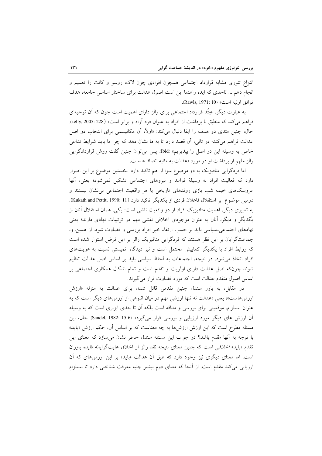انتزاع تئوری مشابه قرارداد اجتماعی همچون افرادی چون لاک، روسو و کانت را تعمیم و انجام دهم ... تاحدی که ایده راهنما این است اصول عدالت برای ساختار اساسی جامعه، هدف توافق اوليه است» (Rawls, 1971: 10).

به عبارت دیگر، «مِتُد قرارداد اجتماعی برای رالز دارای اهمیت است چون که آن توجیهای فراهم مي كند كه منطبق با برداشت از افراد به عنوان فرد آزاد و برابر است» (kelly, 2005: 228). حال، چنین متدی دو هدف را ایفا دنبال میکند: «اولاً، اَن مکانیسمی برای انتخاب دو اصل عدالت فراهم می کند؛ در ثانی، آن قصد دارد تا به ما نشان دهد که چرا ما باید شرایط تداعی خاص به وسیله این دو اصل را بیذیریم» (Ibid). پس می توان چنین گفت روش قراردادگرایی رالز ملهم از برداشت او در مورد «عدالت به مثابه انصاف» است.

اما فردگرایی متافیزیک به دو موضوع سوا از هم تاکید دارد. نخستین موضوع بر این اصرار دارد که فعالیت افراد به وسیلهٔ قواعد و نیروهای اجتماعی تشکیل نمی شود؛ یعنی، آنها عروسکهای خیمه شب بازی روندهای تاریخی یا هر واقعیت اجتماعی بی نشان نیستند و دومین موضوع بر استقلال فاعلان فردی از یکدیگر تاکید دارد (Kukath and Pettit, 1990: 11). به تعبیری دیگر، اهمیت متافیزیک افراد از دو واقعیت ناشی است: یکی، همان استقلال آنان از یگدیگر و دیگر، آنان به عنوان موجودی اخلاقی نقشی مهم در ترتیبات نهادی دارند؛ یعنی نهادهای اجتماعی حساسی باید بر حسب ارتقاء خیر افراد بررسی و قضاوت شود. از همین رو، جماعتگرایان بر این نظر هستند که فردگرایی متافیزیک رالز بر این فرض استوار شده است که روابط افراد با یکدیگر کمابیش محتمل است و نیز دیدگاه اتمیستی نسبت به هویتهای افراد اتخاذ می شود. در نتیجه، اجتماعات به لحاظ سیاسی باید بر اساس اصل عدالت تنظیم شوند چونکه اصل عدالت دارای اولویت و تقدم است و تمام اشکال همکاری اجتماعی بر اساس اصول متقدم عدالت است كه مورد قضاوت قرار مى گيرند.

در مقابل، به باور سندل چنین تقدمی قائل شدن برای عدالت به منزله «ارزش ارزش۵ماست»؛ یعنی «عدالت نه تنها ارزشی مهم در میان انبوهی از ارزشهای دیگر است که به عنوان استلزام، موقعیتی برای بررسی و مداقه است بلکه آن تا حدی ابزاری است که به وسیله آن ارزش های دیگر مورد ارزیابی و بررسی قرار میگیرد» (Sandel, 1982: 15-6). حال، این مسئله مطرح است که این ارزش ارزشها به چه معناست که بر اساس آن، حکم ارزش «باید» با توجه به آنها مقدم باشد؟ در جواب این مسئله سندل خاطر نشان می سازد که معنای این تقدم «بايد» *اخلاقي* است كه چنين معناي نتيجه نقد رالز از اخلاق غايتگرايانه فايده باوران است. اما معنای دیگری نیز وجود دارد که طبق آن عدالت «باید» بر این ارزشهای که آن ارزیابی می کند مقدم است. از آنجا که معنای دوم بیشتر جنبه معرفت شناختی دارد تا استلزام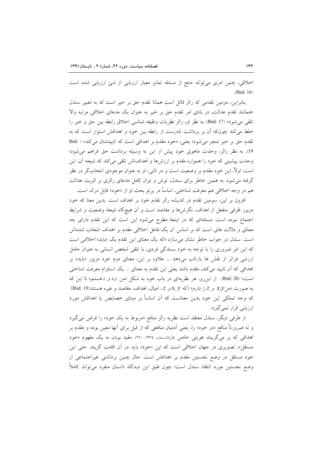اخلاقی، چنین امری می تواند منتج از مسئله تمایز معیار ارزیابی از شئ ارزیابی شده است .(Ibid: 16)

بنابراین، دومین تقدمی که رالز قائل است همانا تقدم حق بر خیر است که به تعبیر سندل «همانند تقدم عدالت، در بادی امر تقدم حق بر خیر به عنوان یک مدعای اخلاقی مرتبه والا تلقى مى شود» (17 .Ibid:). به نظر او، رالز نظريات وظيفه شناسى اخلاق رابطه بين حق و خير را خلط می کند چونکه آن بر برداشت نادرست از رابطه بین خود و اهدافش استوار است که به تقدم حق بر خير منجر مي شود؛ يعني، «خود مقدم بر اهدافي است كه تاييدشان مي كند» ( :Ibid 19. به نظر رالز، وحدت ماهوى خود پيش از اين به وسيله برداشت حق فراهم مي شود؛ وحدت پیشینی که خود را همواره مقدم بر ارزشها و اهدافاش تلقی میکند که نتیجه آن، این است: اولاً، این خود مقدم بر وضعیت است و در ثانی، او به عنوان موجودی انتخابگر در نظر گرفته می شود. به همین خاطر برای سندل، توش و توان کامل مدعای رالزی بر الویت عدالت هم در وجه اخلاقی هم معرفت شناختی، اساساً در پرتو بحث او از «خود» قابل درک است.

افزون بر این، سومین تقدم در اندیشه رالز تقدم خود بر اهداف است. بدین معنا که خود مزبور ظرفی منفعل از اهداف، نگرش۵ا و مقاصد است و آن هیچگاه نتیجهٔ وضعیت و شرایط اجتماع نبوده است. مسئلهای که در اینجا مطرح میشود این است که این تقدم دارای چه معنای و دلالت های است که بر اساس آن یک فاعل اخلاقی مقدم بر اهداف انتخاب شدهاش است. سندل در جواب خاطر نشان می سازد «که یک معنای این تقدم یک «باید» *اخلاقی* است که این امر ضروری را با توجه به خود بسندگی فردی، با تلقی شخص انسانی به عنوان حامل ارزشی فراتر از نقش ها بازتاب میدهد … علاوه بر این، معنای دوم خود مزبور «باید» بر اهدافی که أن تایید میکند، مقدم باشد یعنی این تقدم به معنای … یک استلزام معرفت شناختی است» (bid: 20). از این رو، هر نظریهای در باب خود به شکل «من x,y» و z هستم» تا این که به صورت «من x, y و z را دارم» (که x, y و z ، امیال، اهداف، مقاصد و غیره هستند(lbid: 19) که وجه تملکی این خود بدین معناست که آن اساساً بر مبنای خصایص یا اهدافش مورد ارزيابي قرار نمي گيرد.

از طرفي ديگر، سندل معتقد است نظريه رالز منافع «مربوط به يک خود» را فرض مي گيرد و نه ضرورتاً منافع «در خود» را، یعنی اّدمیان منافعی که از قبل برای اّنها معین بوده و مقدم بر اهدافی که بر میگزینند هویتی خاص دارد(سندل، ١٣٧٤: ٢٧٠). مقید بودن به یک مفهوم «خود مستقل»، تصویری در جهان اخلاقی است که این «خود» باید در آن اقامت گزیند. حتی این خود مستقل در وضع نخستین مقدم بر اهدافش است. حال چنین برداشتی غیراجتماعی از وضع نخستین مورد انتقاد سندل است؛ چون طبق این دیدگاه «انسان منفرد میٍتواند کاملاً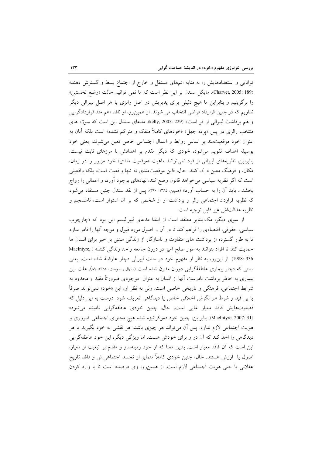توانایی و استعدادهایش را به مثابه اتمهای مستقل و خارج از اجتماع بسط و گسترش دهند» (Charvet, 2005: 189). مايكل سندل بر اين نظر است كه ما نمي توانيم حالت «وضع نخستين» را برگزینیم و بنابراین ما هیچ دلیلی برای پذیریش دو اصل رالزی یا هر اصل لیبرالی دیگر نداریم که در چنین قرارداد فرضی انتخاب می شوند. از همینرو، او ناقد «هم متد قراردادگرایی و هم برداشت ليبرالي از فر است» (kelly, 2005: 229). مدعاى سندل اين است كه سوژه هاى منتخب رالزی در پس «پرده جهل» «خودهای کاملاً منفک و متراکم نشده» است بلکه آنان به عنوان خود موقعیت مند بر اساس روابط و اعمال اجتماعی خاص تعین می شوند، یعنی خود بوسیله اهداف تقویم می شود، خودی که دیگر مقدم بر اهدافش با مرزهای ثابت نیست. بنابراین، نظریههای لیبرالی از فرد نمی توانند ماهیت «موقعیت مندی» خود مزبور را در زمان، مکان، و فرهنگ معین درک کنند. حال، «این موقعیتمندی نه تنها واقعیت است، بلکه واقعیتی است که اگر نظریه سیاسی می خواهد قانون وضع کند، نهادهای بوجود آورد، و اعمالی را رواج بخشد... باید أن را به حساب أورد» (ممبتن، ۱۳۸۵: ۳۲۰). پس از نقد سندل چنین مستفاد می شود که نظریه قرارداد اجتماعی رالز و برداشت او از شخص که بر آن استوار است، نامنسجم و نظريه عدالتاش غير قابل توجيه است.

از سوی دیگر، مکاینتایر معتقد است از ابتدا مدعای لیبرالیسم این بود که «چارچوب سیاسی، حقوقی، اقتصادی را فراهم کند تا در آن … اصول مورد قبول و موجه آنها را قادر سازد تا به طور گسترده از برداشت های متفاوت و ناسازگار از زندگی مبتنی بر خیر برای انسان ها حمايت كند تا افراد بتوانند به طور صلح اميز در درون جامعه واحد زندگي كنند» ( .MacIntyre 336 :1988). از این رو، به نظر او مفهوم خود در سنت لیبرالی دچار عارضهٔ شده است، یعنی سنتبی که دچار بیماری عاطفهٔگرایی دوران مدرن شده است (مالهال و سویفت، ۱۳۸۵: ۸۹). علت این بیماری به خاطر برداشت نادرست آنها از انسان به عنوان ً موجودی ضرورتاً مقید و محدود به شرايط اجتماعي، فرهنگي و تاريخي خاصي است. ولي به نظر او، اين «خود» نمي تواند صرفاً یا بی قید و شرط هر نگرش اخلاقی خاص یا دیدگاهی تعریف شود. درست به این دلیل که قضاوتهايش فاقد معيار غاي<sub>م</sub> است. حال، چنين خودي عاطفهگراي<sub>م</sub> ناميده مي شود» (MacIntyre, 2007: 31. بنابراین، چنین خود دموکراتیزه شده هیچ محتوای اجتماعی ضروری و هویت اجتماعی لازم ندارد. پس آن میٍتواند هر چیزی باشد، هر نقشی به خود بگیرید یا هر دیدگاهی را اخذ کند که آن در و برای خودش هست. اما ویژگی دیگر، این خود عاطفهگرایی این است که آن فاقد معیار است. بدین معنا که او خود زمینهساز و مقدم بر تبعیت از معیار، اصول یا ارزش هستند. حال، چنین خودی کاملاً متمایز از تجسد اجتماعی|ش و فاقد تاریخ عقلانی یا حتی هویت اجتماعی لازم است. از همین رو، وی درصدد است تا با وارد کردن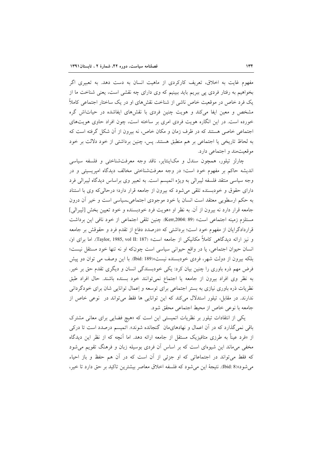مفهوم غایت به اخلاق، تعریف کارکردی از ماهیت انسان به دست دهد. به تعبیری اگر بخواهیم به رفتار فردی پی ببریم باید ببینیم که وی دارای چه نقشی است، یعنی شناخت ما از یک فرد خاص در موقعیت خاص ناشی از شناخت نقشهای او در یک ساختار اجتماعی کاملاً مشخص و معین ایفا میکند و هویت چنین فردی با نقشهای ایفاشده در حیات اش گره خورده است. در این انگاره هویت فردی امری بر ساخته است، چون افراد حاوی هویتهای اجتماعی خاصی هستند که در ظرف زمان و مکان خاص، نه بیرون از آن شکل گرفته است که به لحاظ تاریخی یا اجتماعی بر هم منطبق هستند. پس، چنین برداشتی از خود دلالت بر خود موقعیتمند و اجتماعی دارد.

چارلز تيلور، همچون سندل و مكاينتاير، ناقد وجه معرفتشناختى و فلسفه سياسى اندیشه حاکم بر مفهوم خود است؛ در وجه معرفتشناختی مخالف دیدگاه امیریسیتی و در وجه سياسي منتقد فلسفه ليبرالي به ويژه اتميسم است. به تعبير وي براساس ديدگاه ليبرالي فرد دارای حقوق و خودبسنده تلقی می شود که بیرون از جامعه قرار دارد؛ درحالی که وی با استناد به حکم ارسطویی معتقد است انسان یا خود موجودی اجتماعی۔سیاسی است و خیر آن درون جامعه قرار دارد نه بیرون از آن. به نظر او «هویت فرد خودبسنده و خود تعیین بخش [لیبرالی] مستلزم زمينه اجتماعي است» (Kerr,2004: 89). چنين تلقى اجتماعي از خود نافي اين برداشت قراردادگرایان از مفهوم خود است؛ برداشتی که «درصدد دفاع از تقدم فرد و حقوقش بر جامعه و نیز ارائه دیدگاهی کاملاً مکانیکی از جامعه است» (Taylor, 1985, vol II: 187). اما برای او، انسان حیوان اجتماعی، یا در واقع حیوانی سیاسی است چونکه او نه تنها خود مستقل نیست؛ بلکه بیرون از دولت شهر، فردی خودبسنده نیست»(189 :Ibid). با این وصف می توان دو پیش فرض مهم ذره باوری را چنین بیان کرد: یکی خودبسندگی انسان و دیگری تقدم حق بر خیر. به نظر وى افراد بيرون از جامعه يا اجتماع نمى توانند خود بسنده باشند. حال افراد طبق نظریات ذره باوری نیازی به بستر اجتماعی برای توسعه و اِعمال توانایی شان برای خودگردانی ندارند. در مقابل، تیلور استدلال میکند که این توانایی ها فقط میتواند در نوعی خاص از جامعه با نوعي خاص از محيط اجتماعي محقق شود.

یکی از انتقادات تیلور بر نظریات اتمیستی این است که «هیچ فضایی برای معانی مشترک باقی نمیگذارد که در آن اعمال و نهادهایمان گنجانده شوند». اتمیسم درصدد است تا درکی از «فرد عیناً به طرزی متافیزیک مستقل از جامعه ارائه دهد. اما آنچه که از نظر این دیدگاه مخفی میماند این شیوهای است که بر اساس آن فردی بوسیله زبان و فرهنگ تقویم می شود که فقط می تواند در اجتماعاتی که او جزئی از آن است که در آن هم حفظ و باز احیاء مي شود»(8 :bid). نتيجة اين مي شود كه فلسفه اخلاق معاصر بيشترين تاكيد بر حق دارد تا خير،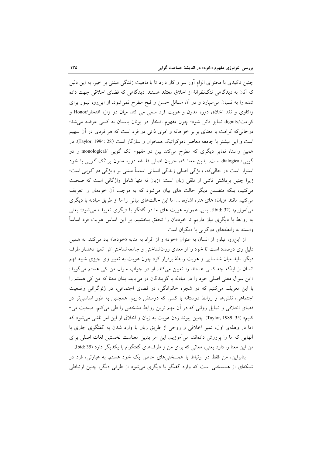چنین تاکیدی با محتوای الزام اَور سر و کار دارد تا با ماهیت زندگی مبتنی بر خیر. به این دلیل که آنان به دیدگاهی تنگنظرانهٔ از اخلاق معتقد هستند. دیدگاهی که فضای اخلاقی جهت داده شده را به نسیان می سپارد و در آن مسائل حسن و قبح مطرح نمیشود. از این رو، تیلور برای واكاوى و نقد اخلاق دوره مدرن و هويت فرد سعى مى كند ميان دو واژه افتخار/Honor و کرامت/dignity تمایز قائل شود؛ چون مفهوم افتخار در یونان باستان به کسی عرضه می شد؛ درحالی که کرامت با معنای برابر خواهانه و امری ذاتی در فرد است که هر فردی در آن سهیم است و این بیشتر با جامعه معاصر دموکراتیک همخوان و سازگار است (Taylor, 1994: 28). در همین راستا، تمایز دیگری که مطرح میکند بین دو مفهوم تک گویی /monological و دو گویی /dialogical است. بدین معنا که، جریان اصلی فلسفه دوره مدرن بر تک گویی با خود استوار است در حال<sub>ی</sub>که، ویژگی اصلی زندگی انسانی اساساً مبتنی بر ویژگی *دو گویی* است؛ زیرا چنین برداشتی ناشی از تلقی زبان است: «زبان نه تنها شامل واژگانی است که صحبت می کنیم، بلکه متضمن دیگر حالت های بیان میشود که به موجب اُن خودمان را تعریف می کنیم مانند «زبان» های هنر، اشاره، ... اما این حالتهای بیانی را ما از طریق مبادله با دیگری میآموزیم» (Ibid: 32). پس، همواره هویت های ما در گفتگو با دیگری تعریف میشود؛ یعنی به روابط با دیگری نیاز داریم تا خودمان را تحقق ببخشیم. بر این اساس هویت فرد اساساً وابسته به رابطههای دوگویی با دیگران است.

از این رو، تیلور از انسان به عنوان «خود» و از افراد به مثابه «خودها» یاد می کند. به همین دلیل وی درصدد است تا خود را از معنای روانشناختی و جامعهشناختی اش تمیز دهد.از طرف دیگر، باید میان شناسایی و هویت رابطهٔ برقرار کرد چون هویت به تعبیر وی چیزی شبیه فهم انسان از اینکه چه کسی هستند را تعیین میکند. او در جواب سوال من کی هستم میگوید: «این سوال معنی اصلی خود را در مبادله با گویندگان در می یابد. بدان معنا که من کی هستم را با این تعریف میکنیم که در شجره خانوادگی، در فضای اجتماعی، در ژئوگرافی وضعیت اجتماعی، نقشها و روابط دوستانه با کسی که دوستش داریم. همچنین به طور اساسی تر در فضای اخلاقی و تمایل روانی که در آن مهم ترین روابط مشخص را طی میکنم، صحبت می-كنيم» (Taylor, 1989: 35). چنين ييوند زدن هويت به زبان و اخلاق از اين امر ناشي مي شود كه «ما در وهلهى اول، تميز اخلاقى و روحى از طريق زبان با وارد شدن به گفتگوى جارى با آنهایی که ما را پرورش دادهاند، میآموزیم. این امر بدین معناست نخستین لغات اصلی برای من این معنا را دارد یعنی، معانی که برای من و طرفهای گفتگوام با یکدیگر دارد (35 :bid).

بنابراین، من فقط در ارتباط با همسخنیهای خاص یک خود هستم. به عبارتی، فرد در شبکهای از همسخنی است که وارد گفتگو با دیگری میشود از طرفی دیگر، چنین ارتباطی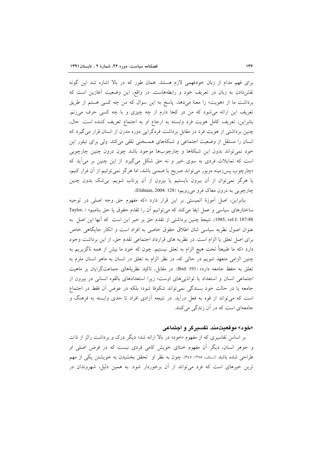برای فهم مدام از زبان خودفهمی لازم هستند. همان طور که در بالا اشاره شد این گونه نقش(دادن به زبان در تعریف خود و رابطههاست. در واقع، این وضعیت آغازین است که برداشت ما از «هویت» را معنا میدهد. پاسخ به این سوال که من چه کسی هستم از طریق تعریف این ارائه میشود که من در کجا دارم از چه چیزی و با چه کسی حرف میزنم. بنابراين، تعريف كامل هويت فرد وابسته به ارجاع او به اجتماع تعريف كننده است. حال، چنین برداشتی از هویت فرد در مقابل برداشت فردگرایی دوره مدرن از انسان قرار میگیرد که انسان را مستقل از وضعیت اجتماعی و شبکهٔهای همسخنی تلقی میکند. ولی برای تیلور این خود نمي تواند بدون اين شبكهٔها و چارچوبها موجود باشد چون درون چنين چارچوبي است که تمایلات فردی به سوی خیر و نه حق شکل میگیرد. از این چنین بر می آید که «چارچوب پسزمینه مزبور می تواند صریح یا ضمنی باشد، اما هرگز نمی توانیم از آن فرار کنیم، یا هرگز نمیتوان از آن بیرون بایستیم یا بیرون از آن پرتاب شویم. بی شک بدون چنین چارچوبی به درون مغاک فرو می رویم» (Elshtain, 2004: 128).

بنابراین، اصل اَموزهٔ اتمیستی بر این قرار دارد «که مفهوم حق وجه اصلی در توجیه ساختارهای سیاسی و عمل ایفا میکند که می توانیم آن را تقدم حقوق یا حق بنامیم» ( ,Taylor 187-88 :1985, vol I). نتيجة چنين برداشتي از تقدم حق بر خير اين است كه آنها اين اصل به عنوان اصول نظریه سیاسی شان اطلاق حقوق خاصی به افراد است و انکار جایگاهی خاص برای اصل تعلق یا الزام است. در نظریه های قرارداد اجتماعی تقدم حق، از این برداشت وجود دارد «که ما طبیعتاً تحت هیچ الزام به تعلق نیستیم. چون که خود ما بیش از همه ناگزیریم به چنین الزامی متعهد شویم در حالی که، در نظر الزام به تعلق در انسان به ماهو انسان ملزم به تعلق به حفظ جامعه دارد» (Ibid: 191). در مقابل، تاکید نظریهٔهای جماعتگرایان بر ماهیت اجتماعی انسان و استعداد یا تواناییهای اوست؛ زیرا استعدادهای بالقوه انسانی در بیرون از جامعه يا در حالت خود بسندگي نمي تواند شكوفا شود؛ بلكه در عوض آن فقط در اجتماع است که میتواند از قوه به فعل درآید. در نتیجه آزادی افراد تا حدی وابسته به فرهنگ و جامعهای است که در آن زندگی میکنند.

### «خود» موقعیتمند، تفسیرگر و اجتماعی

بر اساس تفاسیری که از مفهوم «خود» در بالا ارائه شد؛ دیگر درک و برداشت رالز از ذات و جوهر انسان، دیگر آن مفهوم خنثای خویش کامی فردی نیست که در فرض اصلی او طراحی شده باشد (لسناف، ۱۳۸۵: ۳٤٥). چون به نظر او تحقق بخشیدن به خویشتن یکی از مهم ترین خیرهای است که فرد می تواند از آن برخوردار شود. به همین دلیل، شهروندان در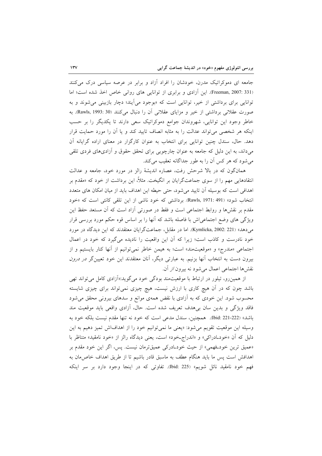جامعه ای دموکراتیک مدرن، خودشان را افراد آزاد و برابر در عرصه سیاسی درک میکنند (Freeman, 2007: 331. این آزادی و برابری از توانایی های روانی خاص اخذ شده است؛ اما توانایی برای برداشتی از خیر، توانایی است که «بوجود میآیند؛ دچار بازبینی می شوند و به صورت عقلانی برداشتی از خیر و مزایای عقلانی آن را دنبال میکنند (Rawls, 1993: 30). به خاطر وجود این توانایی، شهروندان جوامع دموکراتیک سعی دارند تا یکدیگر را بر حسب اینکه هر شخصی می تواند عدالت را به مثابه انصاف تایید کند و یا آن را مورد حمایت قرار دهد. حال، سندل چنین توانایی برای انتخاب به عنوان کارگزار در معنای اراده گرایانه آن میداند، به این دلیل که جامعه به عنوان چارچوبی برای تحقق حقوق و آزادیهای فردی تلقی می شود که هر کس آن را به طور جداگانه تعقیب می کند.

همانگون که در بالا شرحش رفت، عصاره اندیشهٔ رالز در مورد خود، جامعه و عدالت انتقادهایی مهم را از سوی جماعتگرایان بر انگیخت. مثلاً، این برداشت از خود که «مقدم بر اهدافی است که بوسیله أن تایید می شود، حتی حیطه این اهداف باید از میان امکان های متعدد انتخاب شود» (Rawls, 1971: 491). برداشتی که خود ناشی از این تلقی کانتی است که «خود مقدم بر نقشرها و روابط اجتماعی است و فقط در صورتی أزاد است که اَن مستعد حفظ این ویژگی های وضع اجتماعیاش با فاصله باشد که آنها را بر اساس قوه حکم مورد بررسی قرار می دهد» (Kymlicka, 2002: 221). اما در مقابل، جماعتگرایان معتقدند که این دیدگاه در مورد خود نادرست و کاذب است؛ زیرا که أن این واقعیت را نادیده می گیرد که خود در اعمال اجتماعی «مندرج» و «موقعیتمند» است؛ به هیمن خاطر نمیتوانیم از آنها کنار بایستیم و از بیرون دست به انتخاب آنها بزنیم. به عبارتی دیگر، آنان معتقدند این خود تعیینگر *در درون* نقشها اجتماعی اعمال میشود نه بیرون *از* آن.

از همین رو، تیلور در ارتباط با موقعیتمند بودگی خود میگوید:«اَزادی کامل می تواند تھی باشد چون که در آن هیچ کاری با ارزش نیست، هیچ چیزی نمیتواند برای چیزی شایسته محسوب شود. این خودی که به آزادی با نقض همهی موانع و سدهای بیرونی محقق میشود فاقد ویژگی و بدین سان بی هدف تعریف شده است. حال، آزادی واقعی باید موقعیت مند باشد» (222-221).22Ibid). همچنین، سندل مدعی است که خود نه تنها مقدم نیست بلکه خود به وسيله اين موقعيت تقويم مي شود: «يعني ما نمي توانيم خود را از اهداف اش تميز دهيم به اين دلیل که آن «خود\_ادراکی» و «اندراج\_خود» است، یعنی دیدگاه رالز از «خود نامقید» متناظر با «عمیق ترین خودفهمی» از حیث خودادرکی عمیقترمان نیست. پس، اگر این خود مقدم بر اهدافش است پس ما باید هنگام عطف به ماسبق قادر باشیم تا از طریق اهداف خاص۵مان به فهم خود نامقید نائل شویم» (Ibid: 225). تفاوتی که در اینجا وجود دارد بر سر اینکه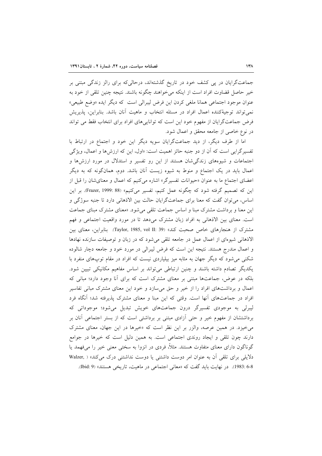جماعتگرایان در پی کشف خود در تاریخ گذشتهاند، درحالی که برای رالز زندگی مبتنی بر خير حاصل قضاوت افراد است از اينكه مي خواهند چگونه باشند. نتيجه چنين تلقي از خود به عنوان موجود اجتماعی همانا ملغی کردن این فرض لیبرالی است که دیگر ایده «وضع طبیعی» نمی تواند توجیهٔکننده اعمال افراد در مسئله انتخاب و ماهیت آنان باشد. بنابراین، پذیریش فرض جماعتگرایان از مفهوم خود این است که تواناییهای افراد برای انتخاب فقط می تواند در نوع خاصی از جامعه محقق و اعمال شود.

اما از طرف دیگر، از دید جماعتگرایان سویه دیگر این خود و اجتماع در ارتباط با تفسيرگرايي است كه آن از دو جنبه حائز اهميت است: «اول، اين كه ارزشها و اعمال، ويژگي اجتماعات و شیوههای زندگیشان هستند از این رو تفسیر و استدلال در مورد ارزشها و اعمال باید در یک اجتماع و منوط به شیوه زیست آنان باشد. دوم، همانگونه که به دیگر اعضای اجتماع ما به عنوان «حیوانات تفسیرگر» اشاره می کنیم که اعمال و معنای شان را قبل از این که تصمیم گرفته شود که چگونه عمل کنیم، تفسیر میکنیم» (Frazer, 1999: 88). بر این اساس، می توان گفت که معنا برای جماعتگرایان حالت بین الاذهانی دارد تا جنبه سوژگی و این معنا و برداشت مشترک مبنا و اساس جماعت تلقی می شود. «معنای مشترک مبنای جماعت است. معنای بین الاذهانی به افراد زبان مشترک میدهد تا در مورد واقعیت اجتماعی و فهم مشترک از هنجارهای خاص صحبت کند» (Taylor, 1985, vol II: 39). بنابراین، معنای بین الاذهانی شیوهای از اعمال عمل در جامعه تلقی میشود که در زبان و توصیفات سازنده نهادها و اعمال مندرج هستند. نتیجه این است که فرض لیبرالی در مورد خود و جامعه دچار شالوده شکنی می شود که دیگر جهان به مثابه میز بیلیاردی نیست که افراد در مقام توپهای منفرد با یکدیگر تصادم داشته باشند و چنین ارتباطی میتواند بر اساس مفاهیم مکانیکی تبیین شود. بلکه در عوض، جماعتها مبتنی بر معنای مشترک است که برای آنا وجود دارد؛ مبانی که اعمال و برداشتهای افراد را از خیر و حق میسازد و خود این معنای مشترک مبانی تفاسیر افراد در جماعتهای أنها است. وقتی که این مبنا و معنای مشترک پذیرفته شد؛ أنگاه فرد لیبرلی به موجودی تفسیرگر درون جماعتهای خویش تبدیل می شود؛ موجوداتی که برداشتشان از مفهوم خیر و حتی آزادی مبتنی بر برداشتی است که از بستر اجتماعی آنان بر می خیزد. در همین عرصه، والزر بر این نظر است که «خیرها در این جهان، معنای مشترک دارند چون تلقی و ایجاد روندی اجتماعی است. به همین دلیل است که خیرها در جوامع گوناگون دارای معنای متفاوت هستند. مثلاً، فردی در انزوا به سختی معنی خیر را می فهمد یا دلایلی برای تلقی آن به عنوان امر دوست داشتنی یا دوست نداشتنی درک می کند» ( .Walzer 6-8 :1983). در نهايت بايد گفت كه «معاني اجتماعي در ماهيت، تاريخي هستند» (5 :bid).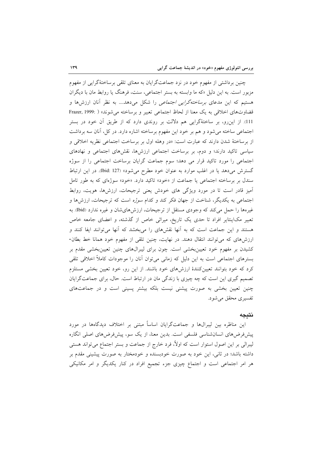چنین برداشتی از مفهوم خود در نزد جماعتگرایان به معنای تلقی برساختهٔگرایی از مفهوم مزبور است. به این دلیل «که ما وابسته به بستر اجتماعی، سنت، فرهنگ یا روابط مان با دیگران هستیم که این مدعای *برساختهگرایی اجتماعی* را شکل میدهد.... به نظر آنان ارزش۵ا و قضاوتهاى اخلاقى به يك معنا از لحاظ اجتماعى تعبير و برساخته مى شوند» ( :Frazer, 1999 111). از اینرو، بر ساختهٔگرایی هم دلالت بر روندی دارد که از طریق آن خود در بستر اجتماعی ساخته میشود و هم بر خود این مفهوم برساخته اشاره دارد. در کل، أنان سه برداشت از برساختهٔ شدن دارند که عبارت است: «در وهله اول بر برساخت اجتماعی نظریه اخلاقی و سیاسی تاکید دارند؛ و دوم، بر برساخت اجتماعی ارزشها، نقشهای اجتماعی و نهادهای اجتماعی را مورد تاکید قرار می دهد؛ سوم جماعت گرایان برساخت اجتماعی را از سوژه گسترش می دهد یا در اغلب موارد به عنوان خود مطرح می شود» (Ibid: 127). در این ارتباط سندل بر برساخته اجتماعی یا جماعت از «خود» تاکید دارد. «خود» سوژهای که به طور تامل آمیز قادر است تا در مورد ویژگی های خودش یعنی ترجیحات، ارزشها، هویت، روابط اجتماعی به یکدیگر، شناخت از جهان فکر کند و کدام *سوژه* است که ترجیحات، ارزشها و غیرهها را حمل می کند که وجودی مستقل از ترجیحات، ارزشهای شان و غیره ندارد (Ibid). به تعبیر مکاینتایر افراد تا حدی یک تاریخ، میراثی خاص از گذشته، و اعضای جامعه خاص هستند و این جماعت است که به آنها نقشهای را میبخشد که آنها می توانند ایفا کنند و ارزشهای که می توانند انتقال دهند. در نهایت، چنین تلقی از مفهوم خود همانا خط بطان-کشیدن بر مفهوم خود تعیینبخشی است. چون برای لیبرالهای چنین تعیینبخشی مقدم بر بسترهای اجتماعی است به این دلیل که زمانی می توان آنان را موجودات کاملاً اخلاقی تلقی کرد که خود بتوانند تعیینکنندهٔ ارزشهای خود باشند. از این رو، خود تعیین بخشی مستلزم تصمیم گیری این است که چه چیزی با زندگی مان در ارتباط است. حال، برای جماعتگرایان چنین تعیین بخشی به صورت پیشنی نیست بلکه بیشتر پسینی است و در جماعتهای تفسیری محقق میشود.

#### نتيجه

این مناظره بین لیبرال&ا و جماعتگرایان اساساً مبتنی بر اختلاف دیدگاهها در مورد پیشفررضهای انسان شناسی فلسفی است. بدین معنا، از یک سو، پیش فرضهای اصلی انگاره لیبرالی بر این اصول استوار است که اولاً، فرد خارج از جماعت و بستر اجتماع میٍتواند هستی داشته باشد؛ در ثانی، این خود به صورت خودبسنده و خودمختار به صورت پیشینی مقدم بر هر امر اجتماعی است و اجتماع چیزی جزء تجمیع افراد در کنار یکدیگر و امر مکانیکی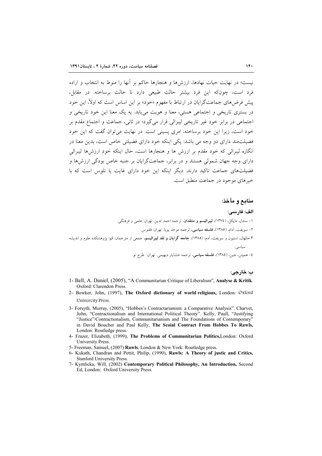نیست؛ در نهایت حیات نهادها، ارزشها و هنجارها حاکم بر آنها را منوط به انتخاب و اراده .<br>فرد است، چونکه این فرد پیشتر حالت طبیعی دارد تا حالت برساخته. در مقابل، پیش فرض های جماعت گرایان در ارتباط با مفهوم «خود» بر این اساس است که اولاً، این خود در بستری تاریخی و اجتماعی هستی، معنا و هویت می بابد. به یک معنا این خود تاریخی و اجتماعی در برابر خود غیر تاریخی لیبرالی قرار می گیرد؛ در ثانی، جماعت و اجتماع مقدم بر خود است، زیرا این خود برساخته، امری پسینی است. در نهایت می توان گفت که این خود فضیلت مند دارای دو وجه می باشد: یکی اینکه خود دارای فضیلتی خاص است، بدین معنا در انگاره لیبرالی که خود مقدم بر ارزش ها و هنجارها است، حال اینکه خود ارزش ها لیبرالی دارای وجه جهان شمولی هستند و در برابر، جماعتگرایان بر جنبه خاص بودگی ارزش ها و فضیلتهای جماعت تاکید دارند. دیگر اینکه این خود دارای غایت یا تلوس است که با خيرهاي موجود در جماعت منطبق است.

### منابع و مآخذ:

الف: فارسے: ۱– سندل، مایکل، (١٣٧٤)، **لیبرالیسم و منتقدان**، ترجمه احمد تدین. تهران: علمی و فرهنگی. ٢– سويفت، آدام، (١٣٨٥)، فلسفه سياسي، ترجمه موحد يويا. تهران: ققنوس. ۳-مالهال، استیون و سویفت، اَدم، (۱۳۸۵)، **جامعه گرایان و نقد لیبرالیسم**، جمعی از مترجمان<sub>.</sub> قم: پژوهشکده علوم و اندیشه سياسي. ٤– همپتن، جين، (١٣٨٥)، **فلسفه سياس**ي، ترجمه خشايار ديهيمي. تهران: طرح نو.

ب: خارجي:

- 1- Bell, A. Daniel, (2005), "A Communitarian Critique of Liberalism", Analyse & Kritik. Oxford: Clarendon Press.
- 2- Bowker, John, (1997), The Oxford dictionary of world religions, London: Oxford Univercity Press.
- 3- Forsyth, Murray, (2005), "Hobbes's Contractarianism: a Comparative Analysis". Charvet, John, "Contractionalism and International Political Theory". Kelly, Paull, "Justifying "Justice"/Contractionalism, Communitarianism and The Foundations of Contemporary" in David Boucher and Paul Kelly, The Scoial Contract From Hobbes To Rawls, London: Routledge press.
- 4- Frazer, Elizabeth, (1999), The Problems of Communitarian Politics, London: Oxford University Press.
- 5- Freeman, Samuel, (2007) Rawls, London & New York: Routledge press.
- 6- Kukath, Chandran and Pettit, Philip, (1990), Rawls: A Theory of justic and Critics, **Stanford University Press.**
- 7- Kymlicka, Will, (2002) Contemporary Political Philosophy, An Introduction, Second Ed, London: Oxford University Press.